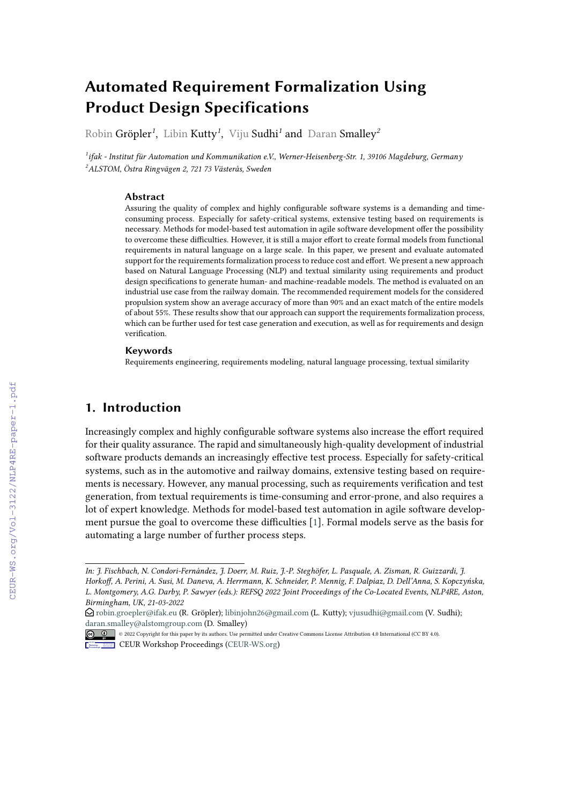# **Automated Requirement Formalization Using Product Design Specifications**

Robin Gröpler*<sup>1</sup>* , Libin Kutty*<sup>1</sup>* , Viju Sudhi*<sup>1</sup>* and Daran Smalley*<sup>2</sup>*

*1 ifak - Institut für Automation und Kommunikation e.V., Werner-Heisenberg-Str. 1, 39106 Magdeburg, Germany <sup>2</sup>ALSTOM, Östra Ringvägen 2, 721 73 Västerås, Sweden*

#### **Abstract**

Assuring the quality of complex and highly configurable software systems is a demanding and timeconsuming process. Especially for safety-critical systems, extensive testing based on requirements is necessary. Methods for model-based test automation in agile software development offer the possibility to overcome these difficulties. However, it is still a major effort to create formal models from functional requirements in natural language on a large scale. In this paper, we present and evaluate automated support for the requirements formalization process to reduce cost and effort. We present a new approach based on Natural Language Processing (NLP) and textual similarity using requirements and product design specifications to generate human- and machine-readable models. The method is evaluated on an industrial use case from the railway domain. The recommended requirement models for the considered propulsion system show an average accuracy of more than 90% and an exact match of the entire models of about 55%. These results show that our approach can support the requirements formalization process, which can be further used for test case generation and execution, as well as for requirements and design verification.

#### **Keywords**

Requirements engineering, requirements modeling, natural language processing, textual similarity

## **1. Introduction**

Increasingly complex and highly configurable software systems also increase the effort required for their quality assurance. The rapid and simultaneously high-quality development of industrial software products demands an increasingly effective test process. Especially for safety-critical systems, such as in the automotive and railway domains, extensive testing based on requirements is necessary. However, any manual processing, such as requirements verification and test generation, from textual requirements is time-consuming and error-prone, and also requires a lot of expert knowledge. Methods for model-based test automation in agile software development pursue the goal to overcome these difficulties [\[1\]](#page--1-0). Formal models serve as the basis for automating a large number of further process steps.

*In: J. Fischbach, N. Condori-Fernández, J. Doerr, M. Ruiz, J.-P. Steghöfer, L. Pasquale, A. Zisman, R. Guizzardi, J. Horkoff, A. Perini, A. Susi, M. Daneva, A. Herrmann, K. Schneider, P. Mennig, F. Dalpiaz, D. Dell'Anna, S. Kopczyńska, L. Montgomery, A.G. Darby, P. Sawyer (eds.): REFSQ 2022 Joint Proceedings of the Co-Located Events, NLP4RE, Aston, Birmingham, UK, 21-03-2022*

 $\Theta$  [robin.groepler@ifak.eu](mailto:robin.groepler@ifak.eu) (R. Gröpler); [libinjohn26@gmail.com](mailto:libinjohn26@gmail.com) (L. Kutty); [vjusudhi@gmail.com](mailto:vjusudhi@gmail.com) (V. Sudhi); [daran.smalley@alstomgroup.com](mailto:daran.smalley@alstomgroup.com) (D. Smalley)

<sup>©</sup> 2022 Copyright for this paper by its authors. Use permitted under Creative Commons License Attribution 4.0 International (CC BY 4.0).

**CEUR Workshop [Proceedings](http://ceur-ws.org) [\(CEUR-WS.org\)](http://ceur-ws.org)**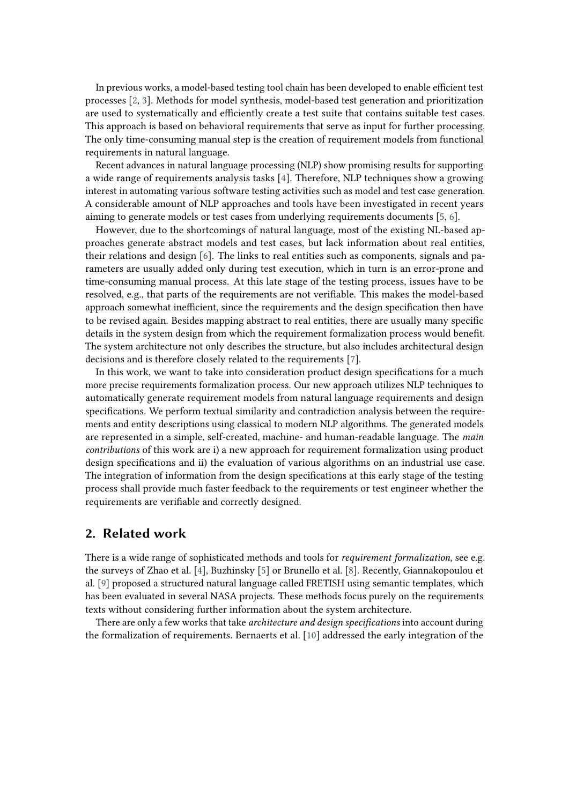In previous works, a model-based testing tool chain has been developed to enable efficient test processes [\[2,](#page-9-0) [3\]](#page-9-1). Methods for model synthesis, model-based test generation and prioritization are used to systematically and efficiently create a test suite that contains suitable test cases. This approach is based on behavioral requirements that serve as input for further processing. The only time-consuming manual step is the creation of requirement models from functional requirements in natural language.

Recent advances in natural language processing (NLP) show promising results for supporting a wide range of requirements analysis tasks [\[4\]](#page-9-2). Therefore, NLP techniques show a growing interest in automating various software testing activities such as model and test case generation. A considerable amount of NLP approaches and tools have been investigated in recent years aiming to generate models or test cases from underlying requirements documents [\[5,](#page-9-3) [6\]](#page-9-4).

However, due to the shortcomings of natural language, most of the existing NL-based approaches generate abstract models and test cases, but lack information about real entities, their relations and design [\[6\]](#page-9-4). The links to real entities such as components, signals and parameters are usually added only during test execution, which in turn is an error-prone and time-consuming manual process. At this late stage of the testing process, issues have to be resolved, e.g., that parts of the requirements are not verifiable. This makes the model-based approach somewhat inefficient, since the requirements and the design specification then have to be revised again. Besides mapping abstract to real entities, there are usually many specific details in the system design from which the requirement formalization process would benefit. The system architecture not only describes the structure, but also includes architectural design decisions and is therefore closely related to the requirements [\[7\]](#page-9-5).

In this work, we want to take into consideration product design specifications for a much more precise requirements formalization process. Our new approach utilizes NLP techniques to automatically generate requirement models from natural language requirements and design specifications. We perform textual similarity and contradiction analysis between the requirements and entity descriptions using classical to modern NLP algorithms. The generated models are represented in a simple, self-created, machine- and human-readable language. The *main contributions* of this work are i) a new approach for requirement formalization using product design specifications and ii) the evaluation of various algorithms on an industrial use case. The integration of information from the design specifications at this early stage of the testing process shall provide much faster feedback to the requirements or test engineer whether the requirements are verifiable and correctly designed.

### **2. Related work**

There is a wide range of sophisticated methods and tools for *requirement formalization*, see e.g. the surveys of Zhao et al. [\[4\]](#page-9-2), Buzhinsky [\[5\]](#page-9-3) or Brunello et al. [\[8\]](#page-9-6). Recently, Giannakopoulou et al. [\[9\]](#page-9-7) proposed a structured natural language called FRETISH using semantic templates, which has been evaluated in several NASA projects. These methods focus purely on the requirements texts without considering further information about the system architecture.

There are only a few works that take *architecture and design specifications* into account during the formalization of requirements. Bernaerts et al. [\[10\]](#page-9-8) addressed the early integration of the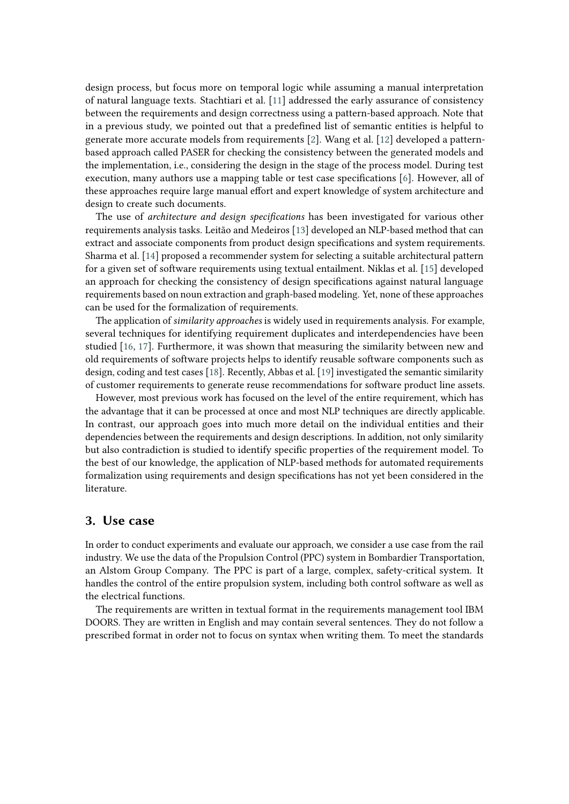design process, but focus more on temporal logic while assuming a manual interpretation of natural language texts. Stachtiari et al. [\[11\]](#page-9-9) addressed the early assurance of consistency between the requirements and design correctness using a pattern-based approach. Note that in a previous study, we pointed out that a predefined list of semantic entities is helpful to generate more accurate models from requirements [\[2\]](#page-9-0). Wang et al. [\[12\]](#page-9-10) developed a patternbased approach called PASER for checking the consistency between the generated models and the implementation, i.e., considering the design in the stage of the process model. During test execution, many authors use a mapping table or test case specifications [\[6\]](#page-9-4). However, all of these approaches require large manual effort and expert knowledge of system architecture and design to create such documents.

The use of *architecture and design specifications* has been investigated for various other requirements analysis tasks. Leitão and Medeiros [\[13\]](#page-9-11) developed an NLP-based method that can extract and associate components from product design specifications and system requirements. Sharma et al. [\[14\]](#page-9-12) proposed a recommender system for selecting a suitable architectural pattern for a given set of software requirements using textual entailment. Niklas et al. [\[15\]](#page-9-13) developed an approach for checking the consistency of design specifications against natural language requirements based on noun extraction and graph-based modeling. Yet, none of these approaches can be used for the formalization of requirements.

The application of *similarity approaches* is widely used in requirements analysis. For example, several techniques for identifying requirement duplicates and interdependencies have been studied [\[16,](#page-9-14) [17\]](#page-9-15). Furthermore, it was shown that measuring the similarity between new and old requirements of software projects helps to identify reusable software components such as design, coding and test cases [\[18\]](#page-9-16). Recently, Abbas et al. [\[19\]](#page-9-17) investigated the semantic similarity of customer requirements to generate reuse recommendations for software product line assets.

However, most previous work has focused on the level of the entire requirement, which has the advantage that it can be processed at once and most NLP techniques are directly applicable. In contrast, our approach goes into much more detail on the individual entities and their dependencies between the requirements and design descriptions. In addition, not only similarity but also contradiction is studied to identify specific properties of the requirement model. To the best of our knowledge, the application of NLP-based methods for automated requirements formalization using requirements and design specifications has not yet been considered in the literature.

### **3. Use case**

In order to conduct experiments and evaluate our approach, we consider a use case from the rail industry. We use the data of the Propulsion Control (PPC) system in Bombardier Transportation, an Alstom Group Company. The PPC is part of a large, complex, safety-critical system. It handles the control of the entire propulsion system, including both control software as well as the electrical functions.

The requirements are written in textual format in the requirements management tool IBM DOORS. They are written in English and may contain several sentences. They do not follow a prescribed format in order not to focus on syntax when writing them. To meet the standards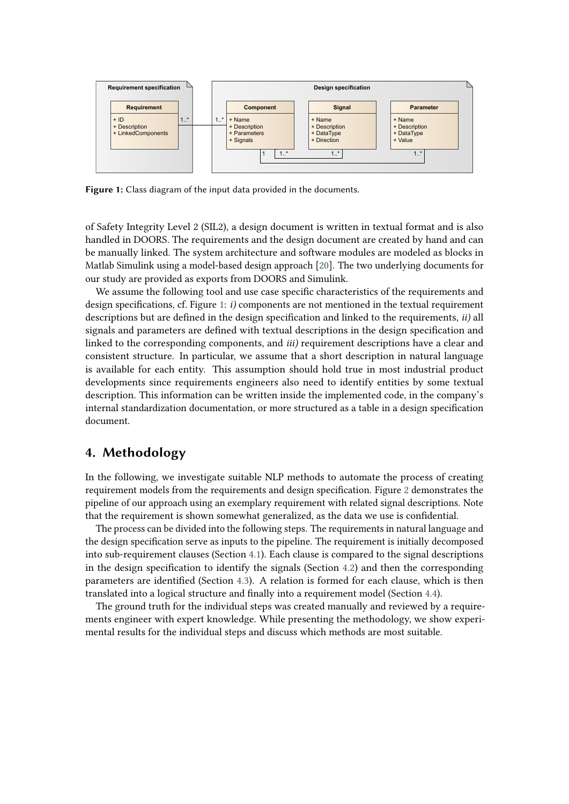

<span id="page-3-0"></span>**Figure 1:** Class diagram of the input data provided in the documents.

of Safety Integrity Level 2 (SIL2), a design document is written in textual format and is also handled in DOORS. The requirements and the design document are created by hand and can be manually linked. The system architecture and software modules are modeled as blocks in Matlab Simulink using a model-based design approach [\[20\]](#page-9-18). The two underlying documents for our study are provided as exports from DOORS and Simulink.

We assume the following tool and use case specific characteristics of the requirements and design specifications, cf. Figure [1:](#page-3-0) *i)* components are not mentioned in the textual requirement descriptions but are defined in the design specification and linked to the requirements, *ii)* all signals and parameters are defined with textual descriptions in the design specification and linked to the corresponding components, and *iii)* requirement descriptions have a clear and consistent structure. In particular, we assume that a short description in natural language is available for each entity. This assumption should hold true in most industrial product developments since requirements engineers also need to identify entities by some textual description. This information can be written inside the implemented code, in the company's internal standardization documentation, or more structured as a table in a design specification document.

### **4. Methodology**

In the following, we investigate suitable NLP methods to automate the process of creating requirement models from the requirements and design specification. Figure [2](#page-4-0) demonstrates the pipeline of our approach using an exemplary requirement with related signal descriptions. Note that the requirement is shown somewhat generalized, as the data we use is confidential.

The process can be divided into the following steps. The requirements in natural language and the design specification serve as inputs to the pipeline. The requirement is initially decomposed into sub-requirement clauses (Section [4.1\)](#page-4-1). Each clause is compared to the signal descriptions in the design specification to identify the signals (Section [4.2\)](#page-5-0) and then the corresponding parameters are identified (Section [4.3\)](#page-6-0). A relation is formed for each clause, which is then translated into a logical structure and finally into a requirement model (Section [4.4\)](#page-7-0).

The ground truth for the individual steps was created manually and reviewed by a requirements engineer with expert knowledge. While presenting the methodology, we show experimental results for the individual steps and discuss which methods are most suitable.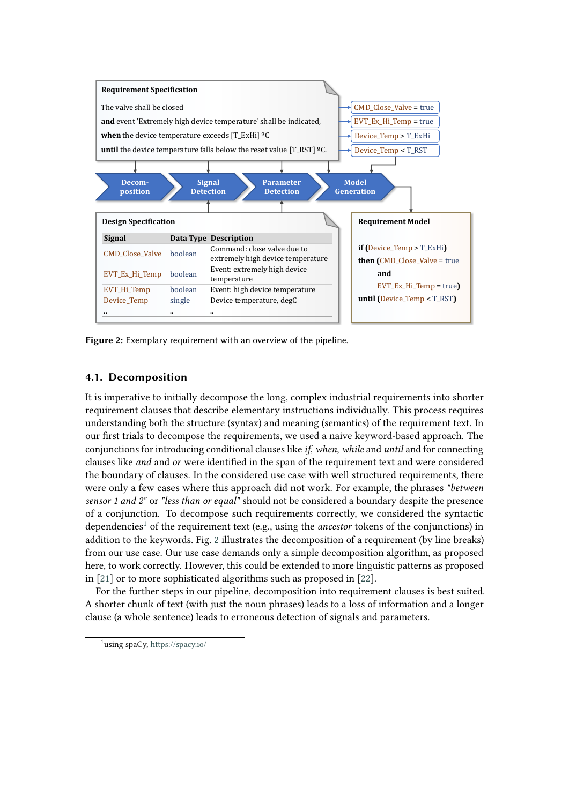

<span id="page-4-0"></span>**Figure 2:** Exemplary requirement with an overview of the pipeline.

### <span id="page-4-1"></span>**4.1. Decomposition**

It is imperative to initially decompose the long, complex industrial requirements into shorter requirement clauses that describe elementary instructions individually. This process requires understanding both the structure (syntax) and meaning (semantics) of the requirement text. In our first trials to decompose the requirements, we used a naive keyword-based approach. The conjunctions for introducing conditional clauses like *if*, *when*, *while* and *until* and for connecting clauses like *and* and *or* were identified in the span of the requirement text and were considered the boundary of clauses. In the considered use case with well structured requirements, there were only a few cases where this approach did not work. For example, the phrases *"between sensor 1 and 2"* or *"less than or equal"* should not be considered a boundary despite the presence of a conjunction. To decompose such requirements correctly, we considered the syntactic dependencies<sup>[1](#page-4-2)</sup> of the requirement text (e.g., using the *ancestor* tokens of the conjunctions) in addition to the keywords. Fig. [2](#page-4-0) illustrates the decomposition of a requirement (by line breaks) from our use case. Our use case demands only a simple decomposition algorithm, as proposed here, to work correctly. However, this could be extended to more linguistic patterns as proposed in [\[21\]](#page-9-19) or to more sophisticated algorithms such as proposed in [\[22\]](#page-9-20).

For the further steps in our pipeline, decomposition into requirement clauses is best suited. A shorter chunk of text (with just the noun phrases) leads to a loss of information and a longer clause (a whole sentence) leads to erroneous detection of signals and parameters.

<span id="page-4-2"></span><sup>1</sup> using spaCy, <https://spacy.io/>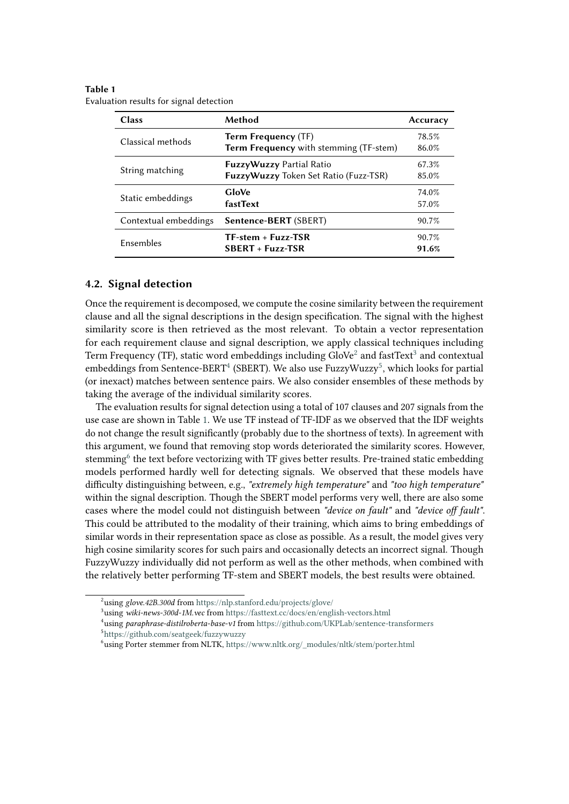<span id="page-5-5"></span>

| Table 1                                 |
|-----------------------------------------|
| Evaluation results for signal detection |

| Class                 | Method                                                               | Accuracy       |
|-----------------------|----------------------------------------------------------------------|----------------|
| Classical methods     | <b>Term Frequency (TF)</b><br>Term Frequency with stemming (TF-stem) | 78.5%<br>86.0% |
| String matching       | FuzzyWuzzy Partial Ratio<br>FuzzyWuzzy Token Set Ratio (Fuzz-TSR)    | 67.3%<br>85.0% |
| Static embeddings     | GloVe<br>fastText                                                    | 74.0%<br>57.0% |
| Contextual embeddings | Sentence-BERT (SBERT)                                                | 90.7%          |
| Ensembles             | $TF-stream + Fuzz-TSR$<br>$SBERT + Fuzz-TSR$                         | 90.7%<br>91.6% |

#### <span id="page-5-0"></span>**4.2. Signal detection**

Once the requirement is decomposed, we compute the cosine similarity between the requirement clause and all the signal descriptions in the design specification. The signal with the highest similarity score is then retrieved as the most relevant. To obtain a vector representation for each requirement clause and signal description, we apply classical techniques including Term Frequency (TF), static word embeddings including GloVe $^2$  $^2$  and fastText $^3$  $^3$  and contextual embeddings from Sentence-BERT $^4$  $^4$  (SBERT). We also use FuzzyWuzzy $^5$  $^5$ , which looks for partial (or inexact) matches between sentence pairs. We also consider ensembles of these methods by taking the average of the individual similarity scores.

The evaluation results for signal detection using a total of 107 clauses and 207 signals from the use case are shown in Table [1.](#page-5-5) We use TF instead of TF-IDF as we observed that the IDF weights do not change the result significantly (probably due to the shortness of texts). In agreement with this argument, we found that removing stop words deteriorated the similarity scores. However, stemming<sup>[6](#page-5-6)</sup> the text before vectorizing with TF gives better results. Pre-trained static embedding models performed hardly well for detecting signals. We observed that these models have difficulty distinguishing between, e.g., *"extremely high temperature"* and *"too high temperature"* within the signal description. Though the SBERT model performs very well, there are also some cases where the model could not distinguish between *"device on fault"* and *"device off fault"*. This could be attributed to the modality of their training, which aims to bring embeddings of similar words in their representation space as close as possible. As a result, the model gives very high cosine similarity scores for such pairs and occasionally detects an incorrect signal. Though FuzzyWuzzy individually did not perform as well as the other methods, when combined with the relatively better performing TF-stem and SBERT models, the best results were obtained.

<span id="page-5-1"></span><sup>2</sup> using *glove.42B.300d* from <https://nlp.stanford.edu/projects/glove/>

<span id="page-5-2"></span><sup>3</sup> using *wiki-news-300d-1M.vec* from <https://fasttext.cc/docs/en/english-vectors.html>

<span id="page-5-4"></span><span id="page-5-3"></span><sup>4</sup> using *paraphrase-distilroberta-base-v1* from <https://github.com/UKPLab/sentence-transformers> 5 <https://github.com/seatgeek/fuzzywuzzy>

<span id="page-5-6"></span> $^6$ using Porter stemmer from NLTK, [https://www.nltk.org/\\_modules/nltk/stem/porter.html](https://www.nltk.org/_modules/nltk/stem/porter.html)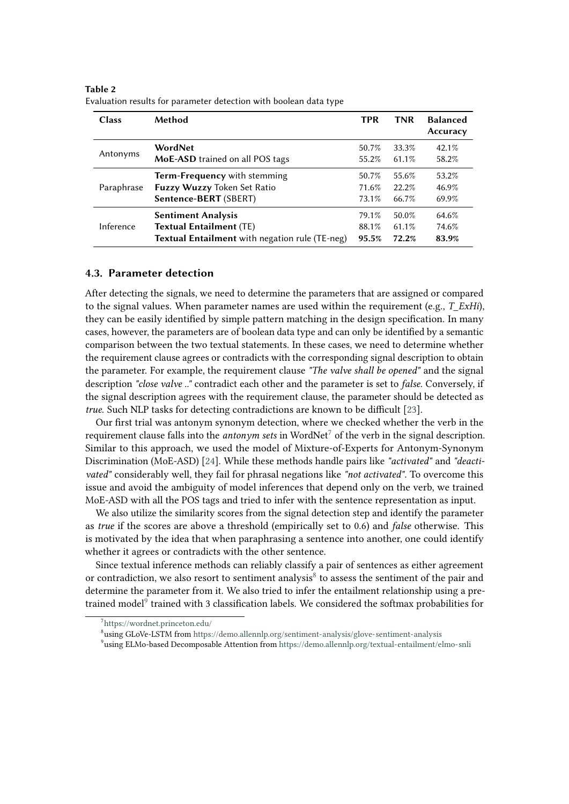| <b>Class</b> | Method                                         | <b>TPR</b> | <b>TNR</b> | <b>Balanced</b><br>Accuracy |
|--------------|------------------------------------------------|------------|------------|-----------------------------|
| Antonyms     | WordNet                                        | 50.7%      | 33.3%      | 42.1%                       |
|              | <b>MoE-ASD</b> trained on all POS tags         | 55.2%      | 61.1%      | 58.2%                       |
| Paraphrase   | Term-Frequency with stemming                   | 50.7%      | 55.6%      | 53.2%                       |
|              | Fuzzy Wuzzy Token Set Ratio                    | 71.6%      | $22.2\%$   | 46.9%                       |
|              | Sentence-BERT (SBERT)                          | 73.1%      | 66.7%      | 69.9%                       |
| Inference    | <b>Sentiment Analysis</b>                      | 79.1%      | 50.0%      | 64.6%                       |
|              | <b>Textual Entailment (TE)</b>                 | 88.1%      | 61.1%      | 74.6%                       |
|              | Textual Entailment with negation rule (TE-neg) | 95.5%      | 72.2%      | 83.9%                       |

<span id="page-6-4"></span>**Table 2** Evaluation results for parameter detection with boolean data type

#### <span id="page-6-0"></span>**4.3. Parameter detection**

After detecting the signals, we need to determine the parameters that are assigned or compared to the signal values. When parameter names are used within the requirement (e.g., *T\_ExHi*), they can be easily identified by simple pattern matching in the design specification. In many cases, however, the parameters are of boolean data type and can only be identified by a semantic comparison between the two textual statements. In these cases, we need to determine whether the requirement clause agrees or contradicts with the corresponding signal description to obtain the parameter. For example, the requirement clause *"The valve shall be opened"* and the signal description *"close valve .."* contradict each other and the parameter is set to *false*. Conversely, if the signal description agrees with the requirement clause, the parameter should be detected as *true*. Such NLP tasks for detecting contradictions are known to be difficult [\[23\]](#page-9-21).

Our first trial was antonym synonym detection, where we checked whether the verb in the requirement clause falls into the *antonym sets* in WordNet[7](#page-6-1) of the verb in the signal description. Similar to this approach, we used the model of Mixture-of-Experts for Antonym-Synonym Discrimination (MoE-ASD) [\[24\]](#page-9-22). While these methods handle pairs like *"activated"* and *"deactivated"* considerably well, they fail for phrasal negations like *"not activated"*. To overcome this issue and avoid the ambiguity of model inferences that depend only on the verb, we trained MoE-ASD with all the POS tags and tried to infer with the sentence representation as input.

We also utilize the similarity scores from the signal detection step and identify the parameter as *true* if the scores are above a threshold (empirically set to 0.6) and *false* otherwise. This is motivated by the idea that when paraphrasing a sentence into another, one could identify whether it agrees or contradicts with the other sentence.

Since textual inference methods can reliably classify a pair of sentences as either agreement or contradiction, we also resort to sentiment analysis<sup>[8](#page-6-2)</sup> to assess the sentiment of the pair and determine the parameter from it. We also tried to infer the entailment relationship using a pre-trained model<sup>[9](#page-6-3)</sup> trained with 3 classification labels. We considered the softmax probabilities for

<span id="page-6-3"></span>9 using ELMo-based Decomposable Attention from <https://demo.allennlp.org/textual-entailment/elmo-snli>

<span id="page-6-1"></span><sup>7</sup> <https://wordnet.princeton.edu/>

<span id="page-6-2"></span> $^8$ using GLoVe-LSTM from <https://demo.allennlp.org/sentiment-analysis/glove-sentiment-analysis>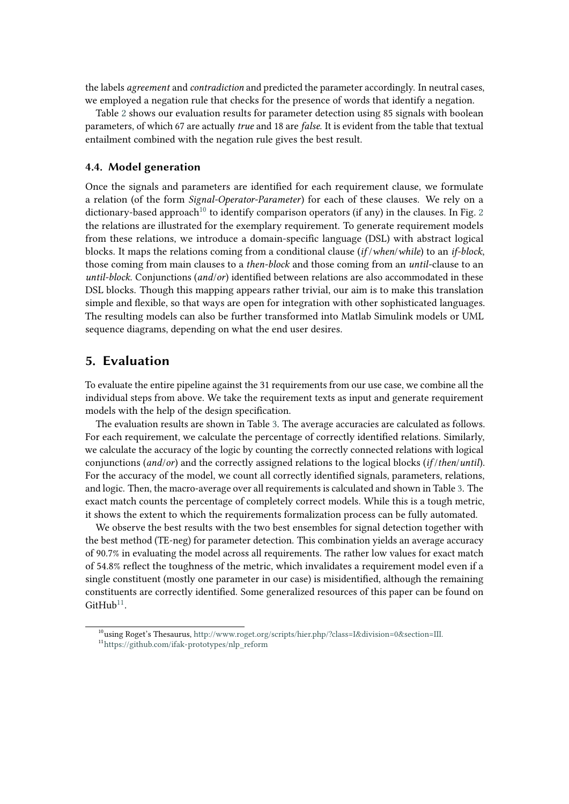the labels *agreement* and *contradiction* and predicted the parameter accordingly. In neutral cases, we employed a negation rule that checks for the presence of words that identify a negation.

Table [2](#page-6-4) shows our evaluation results for parameter detection using 85 signals with boolean parameters, of which 67 are actually *true* and 18 are *false*. It is evident from the table that textual entailment combined with the negation rule gives the best result.

#### <span id="page-7-0"></span>**4.4. Model generation**

Once the signals and parameters are identified for each requirement clause, we formulate a relation (of the form *Signal-Operator-Parameter*) for each of these clauses. We rely on a dictionary-based approach<sup>[10](#page-7-1)</sup> to identify comparison operators (if any) in the clauses. In Fig. [2](#page-4-0) the relations are illustrated for the exemplary requirement. To generate requirement models from these relations, we introduce a domain-specific language (DSL) with abstract logical blocks. It maps the relations coming from a conditional clause (*if* /*when*/*while*) to an *if-block*, those coming from main clauses to a *then-block* and those coming from an *until*-clause to an *until-block*. Conjunctions (*and*/*or*) identified between relations are also accommodated in these DSL blocks. Though this mapping appears rather trivial, our aim is to make this translation simple and flexible, so that ways are open for integration with other sophisticated languages. The resulting models can also be further transformed into Matlab Simulink models or UML sequence diagrams, depending on what the end user desires.

### **5. Evaluation**

To evaluate the entire pipeline against the 31 requirements from our use case, we combine all the individual steps from above. We take the requirement texts as input and generate requirement models with the help of the design specification.

The evaluation results are shown in Table [3.](#page-8-0) The average accuracies are calculated as follows. For each requirement, we calculate the percentage of correctly identified relations. Similarly, we calculate the accuracy of the logic by counting the correctly connected relations with logical conjunctions (*and*/*or*) and the correctly assigned relations to the logical blocks (*if* /*then*/*until*). For the accuracy of the model, we count all correctly identified signals, parameters, relations, and logic. Then, the macro-average over all requirements is calculated and shown in Table [3.](#page-8-0) The exact match counts the percentage of completely correct models. While this is a tough metric, it shows the extent to which the requirements formalization process can be fully automated.

We observe the best results with the two best ensembles for signal detection together with the best method (TE-neg) for parameter detection. This combination yields an average accuracy of 90.7% in evaluating the model across all requirements. The rather low values for exact match of 54.8% reflect the toughness of the metric, which invalidates a requirement model even if a single constituent (mostly one parameter in our case) is misidentified, although the remaining constituents are correctly identified. Some generalized resources of this paper can be found on  $G$ it $H$ u $b^{11}$  $b^{11}$  $b^{11}$ .

<span id="page-7-2"></span><span id="page-7-1"></span> $10$ using Roget's Thesaurus, [http://www.roget.org/scripts/hier.php/?class=I&division=0&section=III.](http://www.roget.org/scripts/hier.php/?class=I&division=0§ion=III.) <sup>11</sup>[https://github.com/ifak-prototypes/nlp\\_reform](https://github.com/ifak-prototypes/nlp_reform)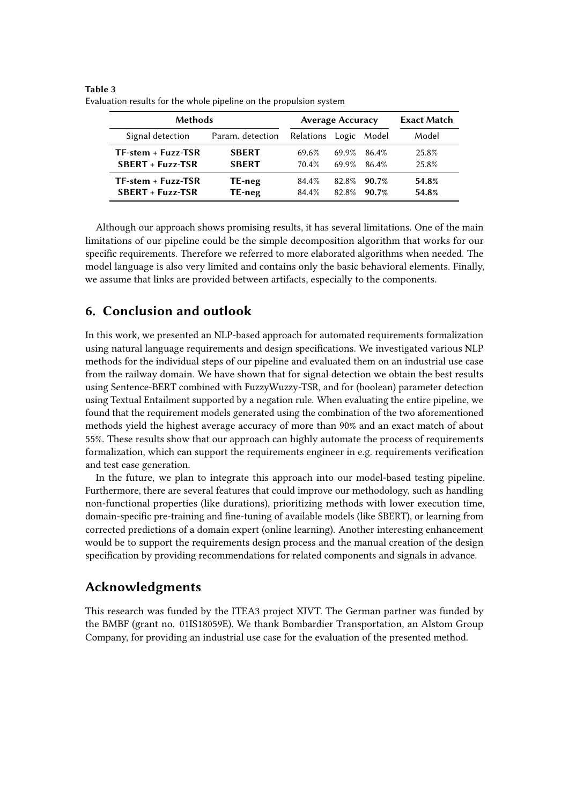| <b>Methods</b>         |                  | <b>Average Accuracy</b> |       |       | <b>Exact Match</b> |
|------------------------|------------------|-------------------------|-------|-------|--------------------|
| Signal detection       | Param. detection | Relations               | Logic | Model | Model              |
| $TF-stream + Fuzz-TSR$ | <b>SBERT</b>     | 69.6%                   | 69.9% | 86.4% | 25.8%              |
| $SBERT + Fuzzy-TSR$    | <b>SBERT</b>     | 70.4%                   | 69.9% | 86.4% | 25.8%              |
| $TF-stream + Fuzz-TSR$ | TE-neg           | 84.4%                   | 82.8% | 90.7% | 54.8%              |
| $SBERT + Fuzzy-TSR$    | TE-neg           | 84.4%                   | 82.8% | 90.7% | 54.8%              |

<span id="page-8-0"></span>**Table 3** Evaluation results for the whole pipeline on the propulsion system

Although our approach shows promising results, it has several limitations. One of the main limitations of our pipeline could be the simple decomposition algorithm that works for our specific requirements. Therefore we referred to more elaborated algorithms when needed. The model language is also very limited and contains only the basic behavioral elements. Finally, we assume that links are provided between artifacts, especially to the components.

# **6. Conclusion and outlook**

In this work, we presented an NLP-based approach for automated requirements formalization using natural language requirements and design specifications. We investigated various NLP methods for the individual steps of our pipeline and evaluated them on an industrial use case from the railway domain. We have shown that for signal detection we obtain the best results using Sentence-BERT combined with FuzzyWuzzy-TSR, and for (boolean) parameter detection using Textual Entailment supported by a negation rule. When evaluating the entire pipeline, we found that the requirement models generated using the combination of the two aforementioned methods yield the highest average accuracy of more than 90% and an exact match of about 55%. These results show that our approach can highly automate the process of requirements formalization, which can support the requirements engineer in e.g. requirements verification and test case generation.

In the future, we plan to integrate this approach into our model-based testing pipeline. Furthermore, there are several features that could improve our methodology, such as handling non-functional properties (like durations), prioritizing methods with lower execution time, domain-specific pre-training and fine-tuning of available models (like SBERT), or learning from corrected predictions of a domain expert (online learning). Another interesting enhancement would be to support the requirements design process and the manual creation of the design specification by providing recommendations for related components and signals in advance.

# **Acknowledgments**

This research was funded by the ITEA3 project XIVT. The German partner was funded by the BMBF (grant no. 01IS18059E). We thank Bombardier Transportation, an Alstom Group Company, for providing an industrial use case for the evaluation of the presented method.